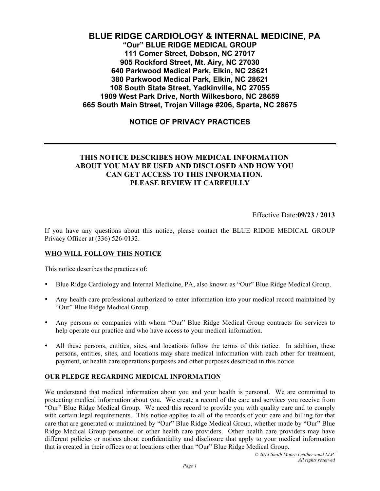# **BLUE RIDGE CARDIOLOGY & INTERNAL MEDICINE, PA "Our" BLUE RIDGE MEDICAL GROUP 111 Comer Street, Dobson, NC 27017 905 Rockford Street, Mt. Airy, NC 27030 640 Parkwood Medical Park, Elkin, NC 28621 380 Parkwood Medical Park, Elkin, NC 28621 108 South State Street, Yadkinville, NC 27055 1909 West Park Drive, North Wilkesboro, NC 28659 665 South Main Street, Trojan Village #206, Sparta, NC 28675**

# **NOTICE OF PRIVACY PRACTICES**

## **THIS NOTICE DESCRIBES HOW MEDICAL INFORMATION ABOUT YOU MAY BE USED AND DISCLOSED AND HOW YOU CAN GET ACCESS TO THIS INFORMATION. PLEASE REVIEW IT CAREFULLY**

Effective Date:**09/23 / 2013**

If you have any questions about this notice, please contact the BLUE RIDGE MEDICAL GROUP Privacy Officer at (336) 526-0132.

#### **WHO WILL FOLLOW THIS NOTICE**

This notice describes the practices of:

- Blue Ridge Cardiology and Internal Medicine, PA, also known as "Our" Blue Ridge Medical Group.
- Any health care professional authorized to enter information into your medical record maintained by "Our" Blue Ridge Medical Group.
- Any persons or companies with whom "Our" Blue Ridge Medical Group contracts for services to help operate our practice and who have access to your medical information.
- All these persons, entities, sites, and locations follow the terms of this notice. In addition, these persons, entities, sites, and locations may share medical information with each other for treatment, payment, or health care operations purposes and other purposes described in this notice.

#### **OUR PLEDGE REGARDING MEDICAL INFORMATION**

We understand that medical information about you and your health is personal. We are committed to protecting medical information about you. We create a record of the care and services you receive from "Our" Blue Ridge Medical Group. We need this record to provide you with quality care and to comply with certain legal requirements. This notice applies to all of the records of your care and billing for that care that are generated or maintained by "Our" Blue Ridge Medical Group, whether made by "Our" Blue Ridge Medical Group personnel or other health care providers. Other health care providers may have different policies or notices about confidentiality and disclosure that apply to your medical information that is created in their offices or at locations other than "Our" Blue Ridge Medical Group.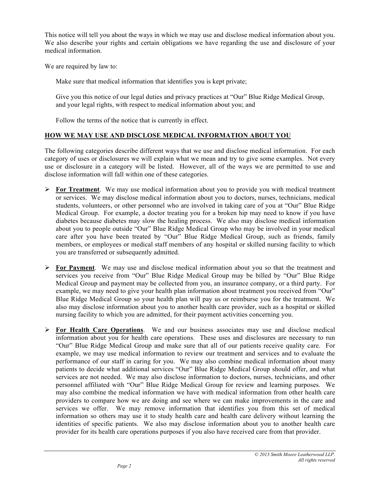This notice will tell you about the ways in which we may use and disclose medical information about you. We also describe your rights and certain obligations we have regarding the use and disclosure of your medical information.

We are required by law to:

Make sure that medical information that identifies you is kept private;

Give you this notice of our legal duties and privacy practices at "Our" Blue Ridge Medical Group, and your legal rights, with respect to medical information about you; and

Follow the terms of the notice that is currently in effect.

#### **HOW WE MAY USE AND DISCLOSE MEDICAL INFORMATION ABOUT YOU**

The following categories describe different ways that we use and disclose medical information. For each category of uses or disclosures we will explain what we mean and try to give some examples. Not every use or disclosure in a category will be listed. However, all of the ways we are permitted to use and disclose information will fall within one of these categories.

- **For Treatment**. We may use medical information about you to provide you with medical treatment or services. We may disclose medical information about you to doctors, nurses, technicians, medical students, volunteers, or other personnel who are involved in taking care of you at "Our" Blue Ridge Medical Group. For example, a doctor treating you for a broken hip may need to know if you have diabetes because diabetes may slow the healing process. We also may disclose medical information about you to people outside "Our" Blue Ridge Medical Group who may be involved in your medical care after you have been treated by "Our" Blue Ridge Medical Group, such as friends, family members, or employees or medical staff members of any hospital or skilled nursing facility to which you are transferred or subsequently admitted.
- **For Payment**. We may use and disclose medical information about you so that the treatment and services you receive from "Our" Blue Ridge Medical Group may be billed by "Our" Blue Ridge Medical Group and payment may be collected from you, an insurance company, or a third party. For example, we may need to give your health plan information about treatment you received from "Our" Blue Ridge Medical Group so your health plan will pay us or reimburse you for the treatment. We also may disclose information about you to another health care provider, such as a hospital or skilled nursing facility to which you are admitted, for their payment activities concerning you.
- **For Health Care Operations**. We and our business associates may use and disclose medical information about you for health care operations. These uses and disclosures are necessary to run "Our" Blue Ridge Medical Group and make sure that all of our patients receive quality care. For example, we may use medical information to review our treatment and services and to evaluate the performance of our staff in caring for you. We may also combine medical information about many patients to decide what additional services "Our" Blue Ridge Medical Group should offer, and what services are not needed. We may also disclose information to doctors, nurses, technicians, and other personnel affiliated with "Our" Blue Ridge Medical Group for review and learning purposes. We may also combine the medical information we have with medical information from other health care providers to compare how we are doing and see where we can make improvements in the care and services we offer. We may remove information that identifies you from this set of medical information so others may use it to study health care and health care delivery without learning the identities of specific patients. We also may disclose information about you to another health care provider for its health care operations purposes if you also have received care from that provider.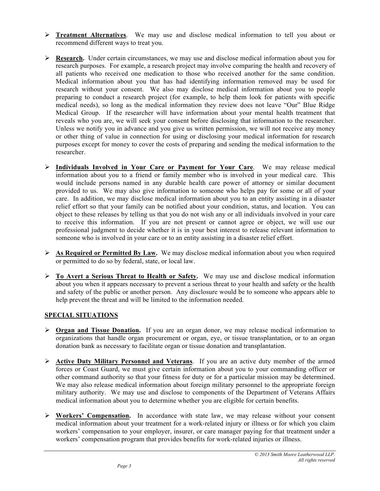- **Treatment Alternatives**. We may use and disclose medical information to tell you about or recommend different ways to treat you.
- **Research.** Under certain circumstances, we may use and disclose medical information about you for research purposes. For example, a research project may involve comparing the health and recovery of all patients who received one medication to those who received another for the same condition. Medical information about you that has had identifying information removed may be used for research without your consent. We also may disclose medical information about you to people preparing to conduct a research project (for example, to help them look for patients with specific medical needs), so long as the medical information they review does not leave "Our" Blue Ridge Medical Group. If the researcher will have information about your mental health treatment that reveals who you are, we will seek your consent before disclosing that information to the researcher. Unless we notify you in advance and you give us written permission, we will not receive any money or other thing of value in connection for using or disclosing your medical information for research purposes except for money to cover the costs of preparing and sending the medical information to the researcher.
- **Individuals Involved in Your Care or Payment for Your Care**. We may release medical information about you to a friend or family member who is involved in your medical care. This would include persons named in any durable health care power of attorney or similar document provided to us. We may also give information to someone who helps pay for some or all of your care. In addition, we may disclose medical information about you to an entity assisting in a disaster relief effort so that your family can be notified about your condition, status, and location. You can object to these releases by telling us that you do not wish any or all individuals involved in your care to receive this information. If you are not present or cannot agree or object, we will use our professional judgment to decide whether it is in your best interest to release relevant information to someone who is involved in your care or to an entity assisting in a disaster relief effort.
- **As Required or Permitted By Law.** We may disclose medical information about you when required or permitted to do so by federal, state, or local law.
- **To Avert a Serious Threat to Health or Safety.** We may use and disclose medical information about you when it appears necessary to prevent a serious threat to your health and safety or the health and safety of the public or another person. Any disclosure would be to someone who appears able to help prevent the threat and will be limited to the information needed.

## **SPECIAL SITUATIONS**

- **Organ and Tissue Donation.** If you are an organ donor, we may release medical information to organizations that handle organ procurement or organ, eye, or tissue transplantation, or to an organ donation bank as necessary to facilitate organ or tissue donation and transplantation.
- **Active Duty Military Personnel and Veterans**. If you are an active duty member of the armed forces or Coast Guard, we must give certain information about you to your commanding officer or other command authority so that your fitness for duty or for a particular mission may be determined. We may also release medical information about foreign military personnel to the appropriate foreign military authority. We may use and disclose to components of the Department of Veterans Affairs medical information about you to determine whether you are eligible for certain benefits.
- **Workers' Compensation.** In accordance with state law, we may release without your consent medical information about your treatment for a work-related injury or illness or for which you claim workers' compensation to your employer, insurer, or care manager paying for that treatment under a workers' compensation program that provides benefits for work-related injuries or illness.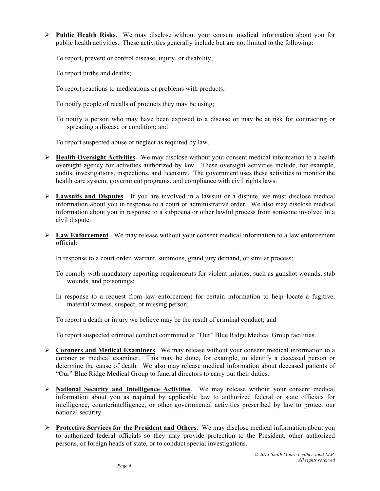**Public Health Risks.** We may disclose without your consent medical information about you for public health activities. These activities generally include but are not limited to the following:

To report, prevent or control disease, injury, or disability;

To report births and deaths;

To report reactions to medications or problems with products;

To notify people of recalls of products they may be using;

To notify a person who may have been exposed to a disease or may be at risk for contracting or spreading a disease or condition; and

To report suspected abuse or neglect as required by law.

- **Health Oversight Activities.** We may disclose without your consent medical information to a health oversight agency for activities authorized by law. These oversight activities include, for example, audits, investigations, inspections, and licensure. The government uses these activities to monitor the health care system, government programs, and compliance with civil rights laws.
- **Lawsuits and Disputes**. If you are involved in a lawsuit or a dispute, we must disclose medical information about you in response to a court or administrative order. We also may disclose medical information about you in response to a subpoena or other lawful process from someone involved in a civil dispute.
- **Law Enforcement**. We may release without your consent medical information to a law enforcement official:

In response to a court order, warrant, summons, grand jury demand, or similar process;

- To comply with mandatory reporting requirements for violent injuries, such as gunshot wounds, stab wounds, and poisonings;
- In response to a request from law enforcement for certain information to help locate a fugitive, material witness, suspect, or missing person;
- To report a death or injury we believe may be the result of criminal conduct; and

To report suspected criminal conduct committed at "Our" Blue Ridge Medical Group facilities.

- **Coroners and Medical Examiners**. We may release without your consent medical information to a coroner or medical examiner. This may be done, for example, to identify a deceased person or determine the cause of death. We also may release medical information about deceased patients of "Our" Blue Ridge Medical Group to funeral directors to carry out their duties.
- **National Security and Intelligence Activities**. We may release without your consent medical information about you as required by applicable law to authorized federal or state officials for intelligence, counterintelligence, or other governmental activities prescribed by law to protect our national security.
- **Protective Services for the President and Others.** We may disclose medical information about you to authorized federal officials so they may provide protection to the President, other authorized persons, or foreign heads of state, or to conduct special investigations.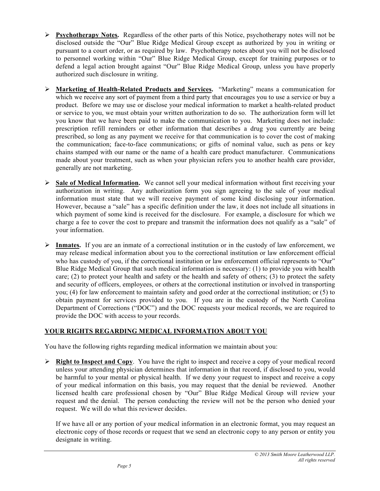- **Psychotherapy Notes.** Regardless of the other parts of this Notice, psychotherapy notes will not be disclosed outside the "Our" Blue Ridge Medical Group except as authorized by you in writing or pursuant to a court order, or as required by law. Psychotherapy notes about you will not be disclosed to personnel working within "Our" Blue Ridge Medical Group, except for training purposes or to defend a legal action brought against "Our" Blue Ridge Medical Group, unless you have properly authorized such disclosure in writing.
- **Marketing of Health-Related Products and Services.** "Marketing" means a communication for which we receive any sort of payment from a third party that encourages you to use a service or buy a product. Before we may use or disclose your medical information to market a health-related product or service to you, we must obtain your written authorization to do so. The authorization form will let you know that we have been paid to make the communication to you. Marketing does not include: prescription refill reminders or other information that describes a drug you currently are being prescribed, so long as any payment we receive for that communication is to cover the cost of making the communication; face-to-face communications; or gifts of nominal value, such as pens or key chains stamped with our name or the name of a health care product manufacturer. Communications made about your treatment, such as when your physician refers you to another health care provider, generally are not marketing.
- **Sale of Medical Information.** We cannot sell your medical information without first receiving your authorization in writing. Any authorization form you sign agreeing to the sale of your medical information must state that we will receive payment of some kind disclosing your information. However, because a "sale" has a specific definition under the law, it does not include all situations in which payment of some kind is received for the disclosure. For example, a disclosure for which we charge a fee to cover the cost to prepare and transmit the information does not qualify as a "sale" of your information.
- **Inmates.** If you are an inmate of a correctional institution or in the custody of law enforcement, we may release medical information about you to the correctional institution or law enforcement official who has custody of you, if the correctional institution or law enforcement official represents to "Our" Blue Ridge Medical Group that such medical information is necessary: (1) to provide you with health care; (2) to protect your health and safety or the health and safety of others; (3) to protect the safety and security of officers, employees, or others at the correctional institution or involved in transporting you; (4) for law enforcement to maintain safety and good order at the correctional institution; or (5) to obtain payment for services provided to you. If you are in the custody of the North Carolina Department of Corrections ("DOC") and the DOC requests your medical records, we are required to provide the DOC with access to your records.

# **YOUR RIGHTS REGARDING MEDICAL INFORMATION ABOUT YOU**

You have the following rights regarding medical information we maintain about you:

 $\triangleright$  **Right to Inspect and Copy**. You have the right to inspect and receive a copy of your medical record unless your attending physician determines that information in that record, if disclosed to you, would be harmful to your mental or physical health. If we deny your request to inspect and receive a copy of your medical information on this basis, you may request that the denial be reviewed. Another licensed health care professional chosen by "Our" Blue Ridge Medical Group will review your request and the denial. The person conducting the review will not be the person who denied your request. We will do what this reviewer decides.

If we have all or any portion of your medical information in an electronic format, you may request an electronic copy of those records or request that we send an electronic copy to any person or entity you designate in writing.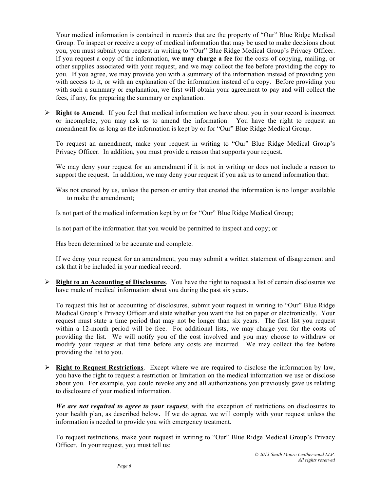Your medical information is contained in records that are the property of "Our" Blue Ridge Medical Group. To inspect or receive a copy of medical information that may be used to make decisions about you, you must submit your request in writing to "Our" Blue Ridge Medical Group's Privacy Officer. If you request a copy of the information, **we may charge a fee** for the costs of copying, mailing, or other supplies associated with your request, and we may collect the fee before providing the copy to you. If you agree, we may provide you with a summary of the information instead of providing you with access to it, or with an explanation of the information instead of a copy. Before providing you with such a summary or explanation, we first will obtain your agreement to pay and will collect the fees, if any, for preparing the summary or explanation.

 $\triangleright$  **Right to Amend**. If you feel that medical information we have about you in your record is incorrect or incomplete, you may ask us to amend the information. You have the right to request an amendment for as long as the information is kept by or for "Our" Blue Ridge Medical Group.

To request an amendment, make your request in writing to "Our" Blue Ridge Medical Group's Privacy Officer. In addition, you must provide a reason that supports your request.

We may deny your request for an amendment if it is not in writing or does not include a reason to support the request. In addition, we may deny your request if you ask us to amend information that:

Was not created by us, unless the person or entity that created the information is no longer available to make the amendment;

Is not part of the medical information kept by or for "Our" Blue Ridge Medical Group;

Is not part of the information that you would be permitted to inspect and copy; or

Has been determined to be accurate and complete.

If we deny your request for an amendment, you may submit a written statement of disagreement and ask that it be included in your medical record.

 **Right to an Accounting of Disclosures**. You have the right to request a list of certain disclosures we have made of medical information about you during the past six years.

To request this list or accounting of disclosures, submit your request in writing to "Our" Blue Ridge Medical Group's Privacy Officer and state whether you want the list on paper or electronically. Your request must state a time period that may not be longer than six years. The first list you request within a 12-month period will be free. For additional lists, we may charge you for the costs of providing the list. We will notify you of the cost involved and you may choose to withdraw or modify your request at that time before any costs are incurred. We may collect the fee before providing the list to you.

 $\triangleright$  **Right to Request Restrictions**. Except where we are required to disclose the information by law, you have the right to request a restriction or limitation on the medical information we use or disclose about you. For example, you could revoke any and all authorizations you previously gave us relating to disclosure of your medical information.

*We are not required to agree to your request*, with the exception of restrictions on disclosures to your health plan, as described below**.** If we do agree, we will comply with your request unless the information is needed to provide you with emergency treatment.

To request restrictions, make your request in writing to "Our" Blue Ridge Medical Group's Privacy Officer. In your request, you must tell us: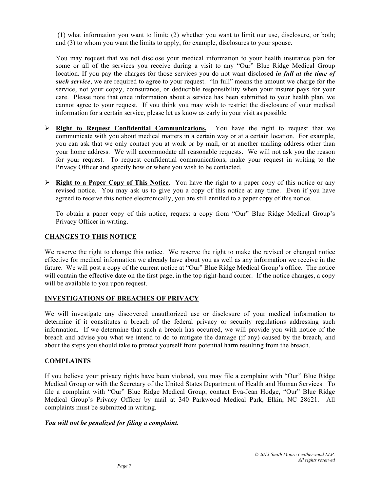(1) what information you want to limit; (2) whether you want to limit our use, disclosure, or both; and (3) to whom you want the limits to apply, for example, disclosures to your spouse.

You may request that we not disclose your medical information to your health insurance plan for some or all of the services you receive during a visit to any "Our" Blue Ridge Medical Group location. If you pay the charges for those services you do not want disclosed *in full at the time of such service*, we are required to agree to your request. "In full" means the amount we charge for the service, not your copay, coinsurance, or deductible responsibility when your insurer pays for your care. Please note that once information about a service has been submitted to your health plan, we cannot agree to your request. If you think you may wish to restrict the disclosure of your medical information for a certain service, please let us know as early in your visit as possible.

- **Right to Request Confidential Communications.** You have the right to request that we communicate with you about medical matters in a certain way or at a certain location. For example, you can ask that we only contact you at work or by mail, or at another mailing address other than your home address. We will accommodate all reasonable requests. We will not ask you the reason for your request. To request confidential communications, make your request in writing to the Privacy Officer and specify how or where you wish to be contacted.
- **Right to a Paper Copy of This Notice**. You have the right to a paper copy of this notice or any revised notice. You may ask us to give you a copy of this notice at any time. Even if you have agreed to receive this notice electronically, you are still entitled to a paper copy of this notice.

To obtain a paper copy of this notice, request a copy from "Our" Blue Ridge Medical Group's Privacy Officer in writing.

## **CHANGES TO THIS NOTICE**

We reserve the right to change this notice. We reserve the right to make the revised or changed notice effective for medical information we already have about you as well as any information we receive in the future. We will post a copy of the current notice at "Our" Blue Ridge Medical Group's office. The notice will contain the effective date on the first page, in the top right-hand corner. If the notice changes, a copy will be available to you upon request.

## **INVESTIGATIONS OF BREACHES OF PRIVACY**

We will investigate any discovered unauthorized use or disclosure of your medical information to determine if it constitutes a breach of the federal privacy or security regulations addressing such information. If we determine that such a breach has occurred, we will provide you with notice of the breach and advise you what we intend to do to mitigate the damage (if any) caused by the breach, and about the steps you should take to protect yourself from potential harm resulting from the breach.

## **COMPLAINTS**

If you believe your privacy rights have been violated, you may file a complaint with "Our" Blue Ridge Medical Group or with the Secretary of the United States Department of Health and Human Services. To file a complaint with "Our" Blue Ridge Medical Group, contact Eva-Jean Hodge, "Our" Blue Ridge Medical Group's Privacy Officer by mail at 340 Parkwood Medical Park, Elkin, NC 28621. All complaints must be submitted in writing.

## *You will not be penalized for filing a complaint.*